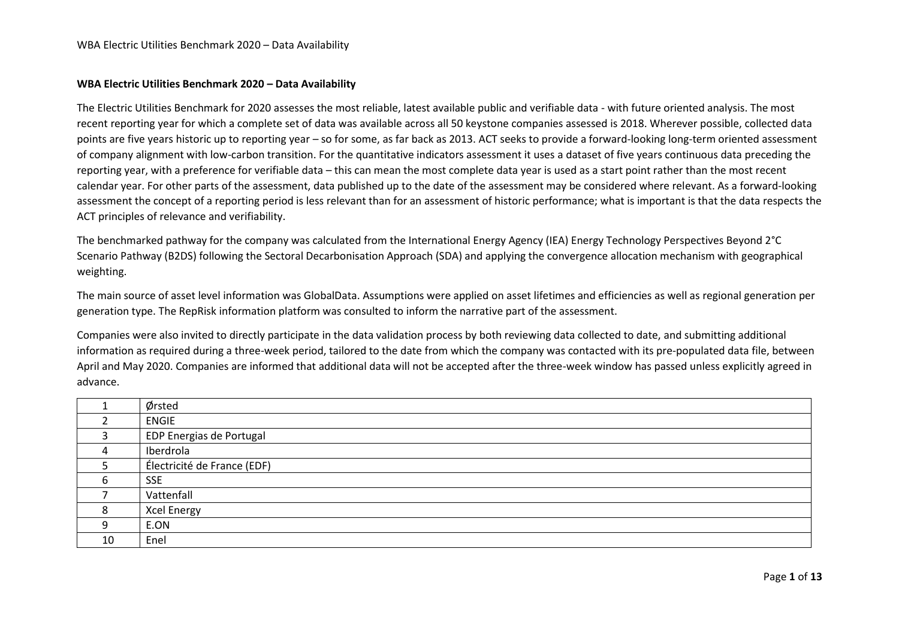## **WBA Electric Utilities Benchmark 2020 – Data Availability**

The Electric Utilities Benchmark for 2020 assesses the most reliable, latest available public and verifiable data - with future oriented analysis. The most recent reporting year for which a complete set of data was available across all 50 keystone companies assessed is 2018. Wherever possible, collected data points are five years historic up to reporting year – so for some, as far back as 2013. ACT seeks to provide a forward-looking long-term oriented assessment of company alignment with low-carbon transition. For the quantitative indicators assessment it uses a dataset of five years continuous data preceding the reporting year, with a preference for verifiable data – this can mean the most complete data year is used as a start point rather than the most recent calendar year. For other parts of the assessment, data published up to the date of the assessment may be considered where relevant. As a forward-looking assessment the concept of a reporting period is less relevant than for an assessment of historic performance; what is important is that the data respects the ACT principles of relevance and verifiability.

The benchmarked pathway for the company was calculated from the International Energy Agency (IEA) Energy Technology Perspectives Beyond 2°C Scenario Pathway (B2DS) following the Sectoral Decarbonisation Approach (SDA) and applying the convergence allocation mechanism with geographical weighting.

The main source of asset level information was GlobalData. Assumptions were applied on asset lifetimes and efficiencies as well as regional generation per generation type. The RepRisk information platform was consulted to inform the narrative part of the assessment.

Companies were also invited to directly participate in the data validation process by both reviewing data collected to date, and submitting additional information as required during a three-week period, tailored to the date from which the company was contacted with its pre-populated data file, between April and May 2020. Companies are informed that additional data will not be accepted after the three-week window has passed unless explicitly agreed in advance.

|    | Ørsted                      |
|----|-----------------------------|
|    | <b>ENGIE</b>                |
| 3  | EDP Energias de Portugal    |
| 4  | Iberdrola                   |
|    | Électricité de France (EDF) |
| ь  | <b>SSE</b>                  |
|    | Vattenfall                  |
| 8  | Xcel Energy                 |
| 9  | E.ON                        |
| 10 | Enel                        |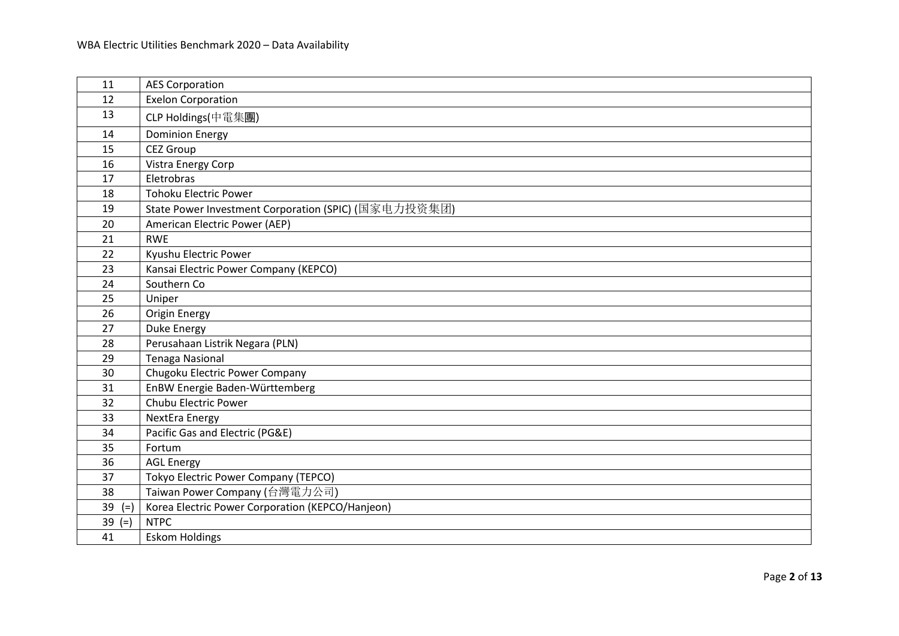| 11          | <b>AES Corporation</b>                               |
|-------------|------------------------------------------------------|
| 12          | <b>Exelon Corporation</b>                            |
| 13          | CLP Holdings(中電集團)                                   |
| 14          | <b>Dominion Energy</b>                               |
| 15          | <b>CEZ Group</b>                                     |
| 16          | Vistra Energy Corp                                   |
| 17          | Eletrobras                                           |
| 18          | <b>Tohoku Electric Power</b>                         |
| 19          | State Power Investment Corporation (SPIC) (国家电力投资集团) |
| 20          | American Electric Power (AEP)                        |
| 21          | <b>RWE</b>                                           |
| 22          | Kyushu Electric Power                                |
| 23          | Kansai Electric Power Company (KEPCO)                |
| 24          | Southern Co                                          |
| 25          | Uniper                                               |
| 26          | Origin Energy                                        |
| 27          | <b>Duke Energy</b>                                   |
| 28          | Perusahaan Listrik Negara (PLN)                      |
| 29          | <b>Tenaga Nasional</b>                               |
| 30          | Chugoku Electric Power Company                       |
| 31          | EnBW Energie Baden-Württemberg                       |
| 32          | Chubu Electric Power                                 |
| 33          | <b>NextEra Energy</b>                                |
| 34          | Pacific Gas and Electric (PG&E)                      |
| 35          | Fortum                                               |
| 36          | <b>AGL Energy</b>                                    |
| 37          | Tokyo Electric Power Company (TEPCO)                 |
| 38          | Taiwan Power Company (台灣電力公司)                        |
| 39<br>$(=)$ | Korea Electric Power Corporation (KEPCO/Hanjeon)     |
| 39<br>$(=)$ | <b>NTPC</b>                                          |
| 41          | <b>Eskom Holdings</b>                                |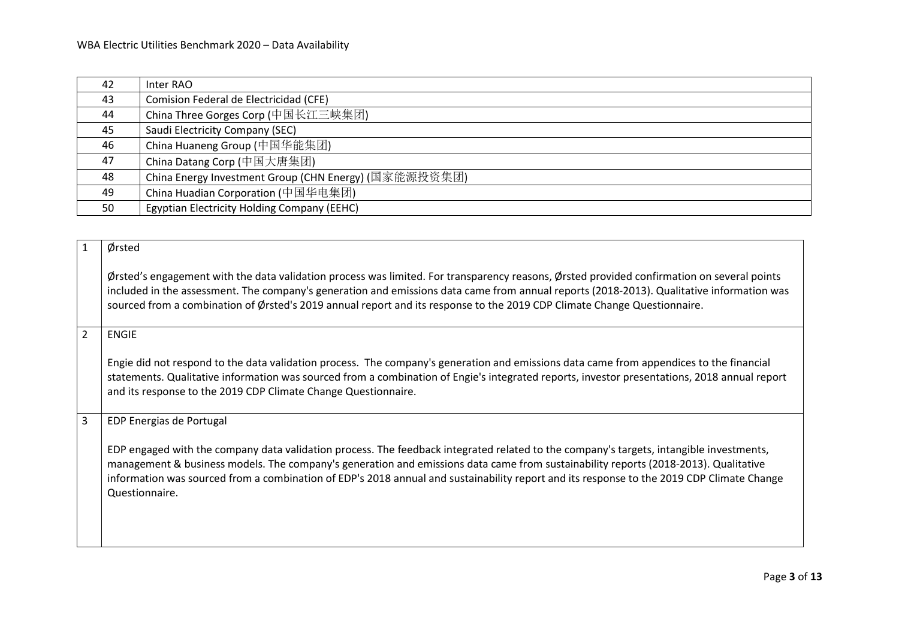| 42 | Inter RAO                                             |
|----|-------------------------------------------------------|
| 43 | Comision Federal de Electricidad (CFE)                |
| 44 | China Three Gorges Corp (中国长江三峡集团)                    |
| 45 | Saudi Electricity Company (SEC)                       |
| 46 | China Huaneng Group (中国华能集团)                          |
| 47 | China Datang Corp (中国大唐集团)                            |
| 48 | China Energy Investment Group (CHN Energy) (国家能源投资集团) |
| 49 | China Huadian Corporation (中国华电集团)                    |
| 50 | Egyptian Electricity Holding Company (EEHC)           |

<span id="page-2-2"></span><span id="page-2-1"></span><span id="page-2-0"></span>

| $\mathbf{1}$   | Ørsted                                                                                                                                                                                                                                                                                                                                                                                                                                        |
|----------------|-----------------------------------------------------------------------------------------------------------------------------------------------------------------------------------------------------------------------------------------------------------------------------------------------------------------------------------------------------------------------------------------------------------------------------------------------|
|                | Ørsted's engagement with the data validation process was limited. For transparency reasons, Ørsted provided confirmation on several points<br>included in the assessment. The company's generation and emissions data came from annual reports (2018-2013). Qualitative information was<br>sourced from a combination of Ørsted's 2019 annual report and its response to the 2019 CDP Climate Change Questionnaire.                           |
| $\overline{2}$ | <b>ENGIE</b>                                                                                                                                                                                                                                                                                                                                                                                                                                  |
|                | Engie did not respond to the data validation process. The company's generation and emissions data came from appendices to the financial<br>statements. Qualitative information was sourced from a combination of Engie's integrated reports, investor presentations, 2018 annual report<br>and its response to the 2019 CDP Climate Change Questionnaire.                                                                                     |
| $\overline{3}$ | EDP Energias de Portugal                                                                                                                                                                                                                                                                                                                                                                                                                      |
|                | EDP engaged with the company data validation process. The feedback integrated related to the company's targets, intangible investments,<br>management & business models. The company's generation and emissions data came from sustainability reports (2018-2013). Qualitative<br>information was sourced from a combination of EDP's 2018 annual and sustainability report and its response to the 2019 CDP Climate Change<br>Questionnaire. |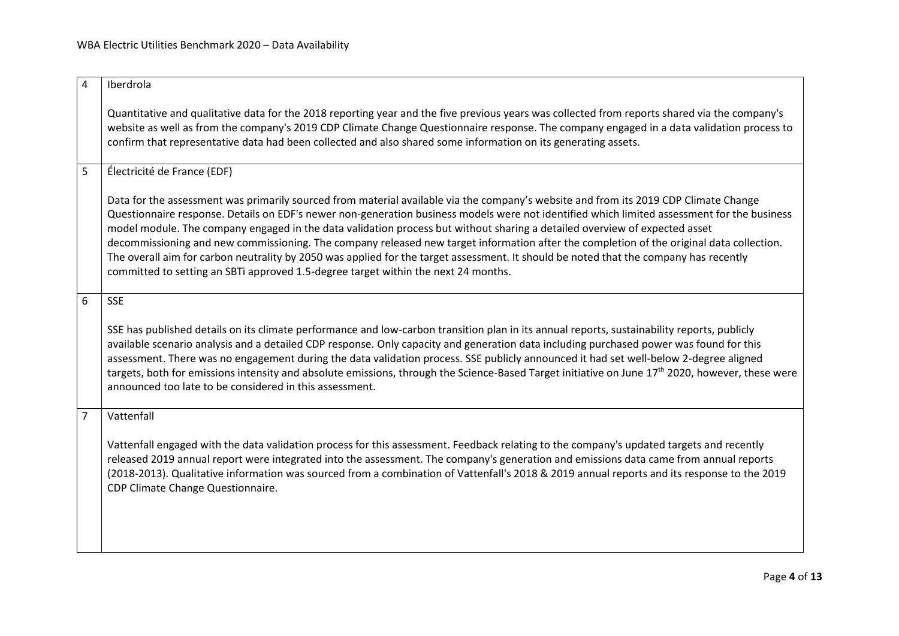<span id="page-3-3"></span><span id="page-3-2"></span><span id="page-3-1"></span><span id="page-3-0"></span>

| $\overline{4}$ | Iberdrola                                                                                                                                                                                                                                                                                                                                                                                                                                                                                                                                                                                                                                                                                                                                                                                    |
|----------------|----------------------------------------------------------------------------------------------------------------------------------------------------------------------------------------------------------------------------------------------------------------------------------------------------------------------------------------------------------------------------------------------------------------------------------------------------------------------------------------------------------------------------------------------------------------------------------------------------------------------------------------------------------------------------------------------------------------------------------------------------------------------------------------------|
|                | Quantitative and qualitative data for the 2018 reporting year and the five previous years was collected from reports shared via the company's<br>website as well as from the company's 2019 CDP Climate Change Questionnaire response. The company engaged in a data validation process to<br>confirm that representative data had been collected and also shared some information on its generating assets.                                                                                                                                                                                                                                                                                                                                                                                 |
| 5              | Électricité de France (EDF)                                                                                                                                                                                                                                                                                                                                                                                                                                                                                                                                                                                                                                                                                                                                                                  |
|                | Data for the assessment was primarily sourced from material available via the company's website and from its 2019 CDP Climate Change<br>Questionnaire response. Details on EDF's newer non-generation business models were not identified which limited assessment for the business<br>model module. The company engaged in the data validation process but without sharing a detailed overview of expected asset<br>decommissioning and new commissioning. The company released new target information after the completion of the original data collection.<br>The overall aim for carbon neutrality by 2050 was applied for the target assessment. It should be noted that the company has recently<br>committed to setting an SBTi approved 1.5-degree target within the next 24 months. |
| 6              | <b>SSE</b>                                                                                                                                                                                                                                                                                                                                                                                                                                                                                                                                                                                                                                                                                                                                                                                   |
|                | SSE has published details on its climate performance and low-carbon transition plan in its annual reports, sustainability reports, publicly<br>available scenario analysis and a detailed CDP response. Only capacity and generation data including purchased power was found for this<br>assessment. There was no engagement during the data validation process. SSE publicly announced it had set well-below 2-degree aligned<br>targets, both for emissions intensity and absolute emissions, through the Science-Based Target initiative on June 17 <sup>th</sup> 2020, however, these were<br>announced too late to be considered in this assessment.                                                                                                                                   |
| $\overline{7}$ | Vattenfall                                                                                                                                                                                                                                                                                                                                                                                                                                                                                                                                                                                                                                                                                                                                                                                   |
|                | Vattenfall engaged with the data validation process for this assessment. Feedback relating to the company's updated targets and recently<br>released 2019 annual report were integrated into the assessment. The company's generation and emissions data came from annual reports<br>(2018-2013). Qualitative information was sourced from a combination of Vattenfall's 2018 & 2019 annual reports and its response to the 2019<br>CDP Climate Change Questionnaire.                                                                                                                                                                                                                                                                                                                        |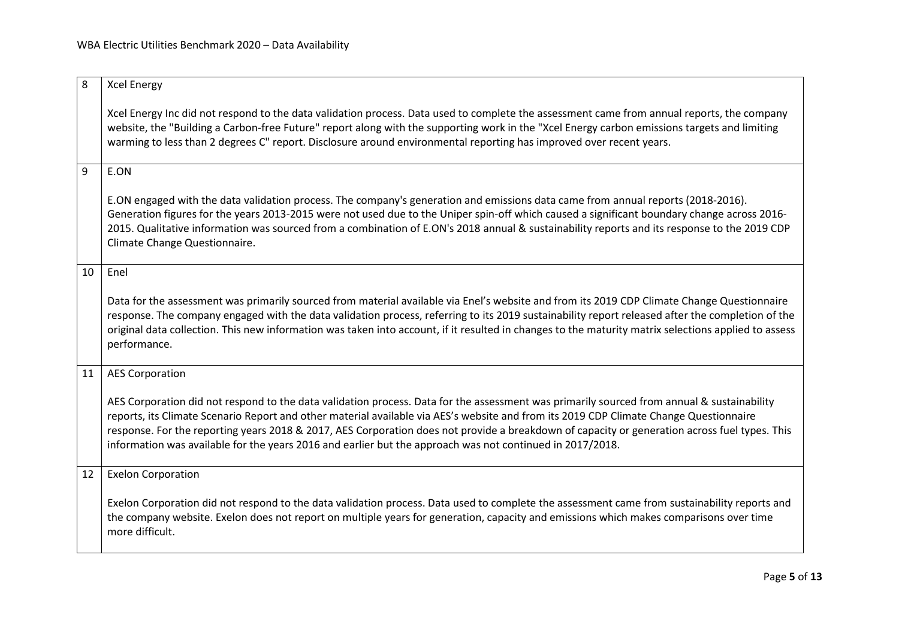<span id="page-4-4"></span><span id="page-4-3"></span><span id="page-4-2"></span><span id="page-4-1"></span><span id="page-4-0"></span>

| 8  | <b>Xcel Energy</b>                                                                                                                                                                                                                                                                                                                                                                                                                                                                                                                                 |
|----|----------------------------------------------------------------------------------------------------------------------------------------------------------------------------------------------------------------------------------------------------------------------------------------------------------------------------------------------------------------------------------------------------------------------------------------------------------------------------------------------------------------------------------------------------|
|    | Xcel Energy Inc did not respond to the data validation process. Data used to complete the assessment came from annual reports, the company<br>website, the "Building a Carbon-free Future" report along with the supporting work in the "Xcel Energy carbon emissions targets and limiting<br>warming to less than 2 degrees C" report. Disclosure around environmental reporting has improved over recent years.                                                                                                                                  |
| 9  | E.ON                                                                                                                                                                                                                                                                                                                                                                                                                                                                                                                                               |
|    | E.ON engaged with the data validation process. The company's generation and emissions data came from annual reports (2018-2016).<br>Generation figures for the years 2013-2015 were not used due to the Uniper spin-off which caused a significant boundary change across 2016-<br>2015. Qualitative information was sourced from a combination of E.ON's 2018 annual & sustainability reports and its response to the 2019 CDP<br>Climate Change Questionnaire.                                                                                   |
| 10 | Enel                                                                                                                                                                                                                                                                                                                                                                                                                                                                                                                                               |
|    | Data for the assessment was primarily sourced from material available via Enel's website and from its 2019 CDP Climate Change Questionnaire<br>response. The company engaged with the data validation process, referring to its 2019 sustainability report released after the completion of the<br>original data collection. This new information was taken into account, if it resulted in changes to the maturity matrix selections applied to assess<br>performance.                                                                            |
| 11 | <b>AES Corporation</b>                                                                                                                                                                                                                                                                                                                                                                                                                                                                                                                             |
|    | AES Corporation did not respond to the data validation process. Data for the assessment was primarily sourced from annual & sustainability<br>reports, its Climate Scenario Report and other material available via AES's website and from its 2019 CDP Climate Change Questionnaire<br>response. For the reporting years 2018 & 2017, AES Corporation does not provide a breakdown of capacity or generation across fuel types. This<br>information was available for the years 2016 and earlier but the approach was not continued in 2017/2018. |
| 12 | <b>Exelon Corporation</b>                                                                                                                                                                                                                                                                                                                                                                                                                                                                                                                          |
|    | Exelon Corporation did not respond to the data validation process. Data used to complete the assessment came from sustainability reports and<br>the company website. Exelon does not report on multiple years for generation, capacity and emissions which makes comparisons over time<br>more difficult.                                                                                                                                                                                                                                          |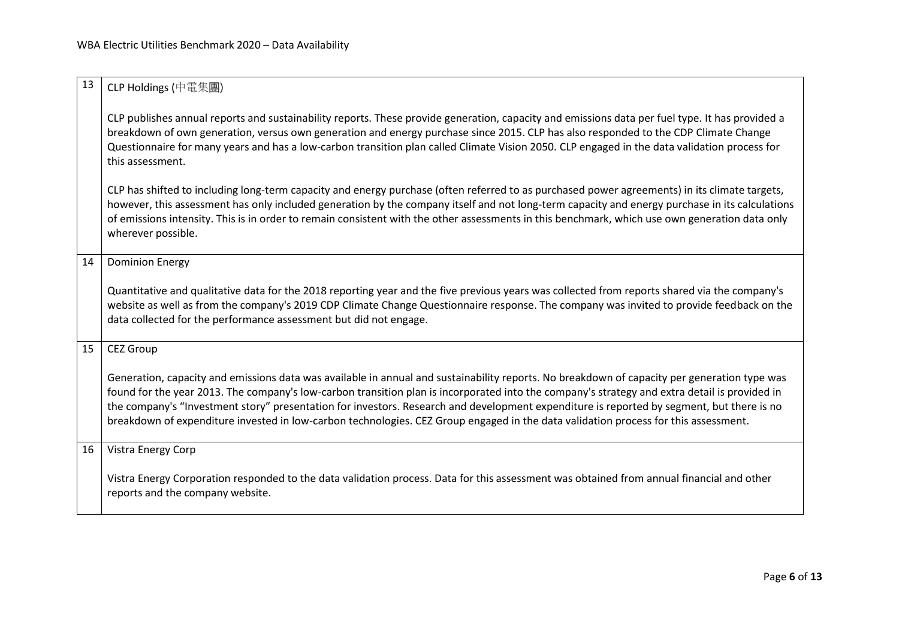<span id="page-5-3"></span><span id="page-5-2"></span><span id="page-5-1"></span><span id="page-5-0"></span>

| 13 | CLP Holdings (中電集團)                                                                                                                                                                                                                                                                                                                                                                                                                                                                                                                                                               |
|----|-----------------------------------------------------------------------------------------------------------------------------------------------------------------------------------------------------------------------------------------------------------------------------------------------------------------------------------------------------------------------------------------------------------------------------------------------------------------------------------------------------------------------------------------------------------------------------------|
|    | CLP publishes annual reports and sustainability reports. These provide generation, capacity and emissions data per fuel type. It has provided a<br>breakdown of own generation, versus own generation and energy purchase since 2015. CLP has also responded to the CDP Climate Change<br>Questionnaire for many years and has a low-carbon transition plan called Climate Vision 2050. CLP engaged in the data validation process for<br>this assessment.                                                                                                                        |
|    | CLP has shifted to including long-term capacity and energy purchase (often referred to as purchased power agreements) in its climate targets,<br>however, this assessment has only included generation by the company itself and not long-term capacity and energy purchase in its calculations<br>of emissions intensity. This is in order to remain consistent with the other assessments in this benchmark, which use own generation data only<br>wherever possible.                                                                                                           |
| 14 | <b>Dominion Energy</b>                                                                                                                                                                                                                                                                                                                                                                                                                                                                                                                                                            |
|    | Quantitative and qualitative data for the 2018 reporting year and the five previous years was collected from reports shared via the company's<br>website as well as from the company's 2019 CDP Climate Change Questionnaire response. The company was invited to provide feedback on the<br>data collected for the performance assessment but did not engage.                                                                                                                                                                                                                    |
| 15 | <b>CEZ Group</b>                                                                                                                                                                                                                                                                                                                                                                                                                                                                                                                                                                  |
|    | Generation, capacity and emissions data was available in annual and sustainability reports. No breakdown of capacity per generation type was<br>found for the year 2013. The company's low-carbon transition plan is incorporated into the company's strategy and extra detail is provided in<br>the company's "Investment story" presentation for investors. Research and development expenditure is reported by segment, but there is no<br>breakdown of expenditure invested in low-carbon technologies. CEZ Group engaged in the data validation process for this assessment. |
| 16 | Vistra Energy Corp                                                                                                                                                                                                                                                                                                                                                                                                                                                                                                                                                                |
|    | Vistra Energy Corporation responded to the data validation process. Data for this assessment was obtained from annual financial and other<br>reports and the company website.                                                                                                                                                                                                                                                                                                                                                                                                     |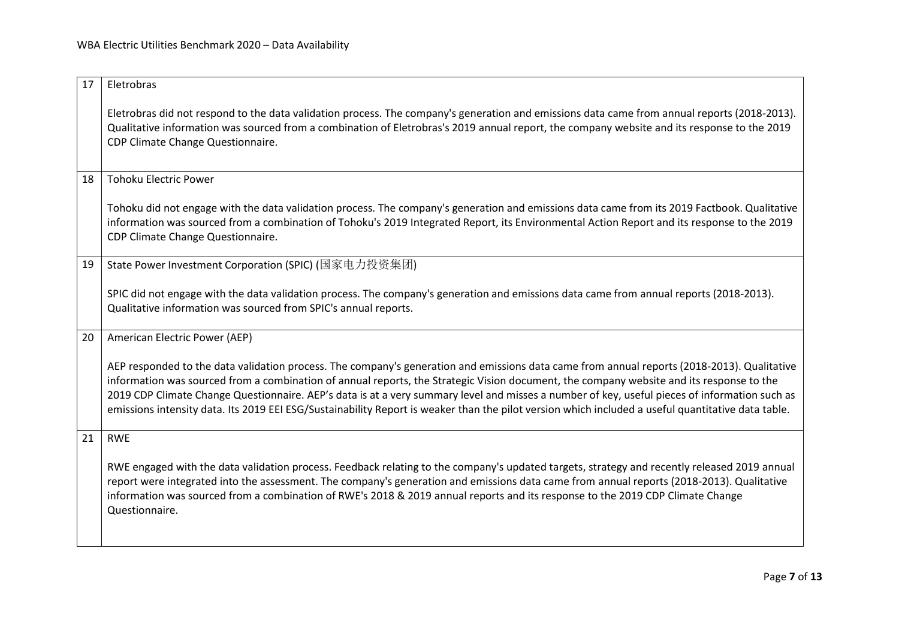<span id="page-6-4"></span><span id="page-6-3"></span><span id="page-6-2"></span><span id="page-6-1"></span><span id="page-6-0"></span>

| 17 | Eletrobras                                                                                                                                                                                                                                                                                                                                                                                                                                                                                                                                                                                     |
|----|------------------------------------------------------------------------------------------------------------------------------------------------------------------------------------------------------------------------------------------------------------------------------------------------------------------------------------------------------------------------------------------------------------------------------------------------------------------------------------------------------------------------------------------------------------------------------------------------|
|    | Eletrobras did not respond to the data validation process. The company's generation and emissions data came from annual reports (2018-2013).<br>Qualitative information was sourced from a combination of Eletrobras's 2019 annual report, the company website and its response to the 2019<br>CDP Climate Change Questionnaire.                                                                                                                                                                                                                                                               |
| 18 | <b>Tohoku Electric Power</b>                                                                                                                                                                                                                                                                                                                                                                                                                                                                                                                                                                   |
|    | Tohoku did not engage with the data validation process. The company's generation and emissions data came from its 2019 Factbook. Qualitative<br>information was sourced from a combination of Tohoku's 2019 Integrated Report, its Environmental Action Report and its response to the 2019<br>CDP Climate Change Questionnaire.                                                                                                                                                                                                                                                               |
| 19 | State Power Investment Corporation (SPIC) (国家电力投资集团)                                                                                                                                                                                                                                                                                                                                                                                                                                                                                                                                           |
|    | SPIC did not engage with the data validation process. The company's generation and emissions data came from annual reports (2018-2013).<br>Qualitative information was sourced from SPIC's annual reports.                                                                                                                                                                                                                                                                                                                                                                                     |
| 20 | American Electric Power (AEP)                                                                                                                                                                                                                                                                                                                                                                                                                                                                                                                                                                  |
|    | AEP responded to the data validation process. The company's generation and emissions data came from annual reports (2018-2013). Qualitative<br>information was sourced from a combination of annual reports, the Strategic Vision document, the company website and its response to the<br>2019 CDP Climate Change Questionnaire. AEP's data is at a very summary level and misses a number of key, useful pieces of information such as<br>emissions intensity data. Its 2019 EEI ESG/Sustainability Report is weaker than the pilot version which included a useful quantitative data table. |
| 21 | <b>RWE</b>                                                                                                                                                                                                                                                                                                                                                                                                                                                                                                                                                                                     |
|    | RWE engaged with the data validation process. Feedback relating to the company's updated targets, strategy and recently released 2019 annual<br>report were integrated into the assessment. The company's generation and emissions data came from annual reports (2018-2013). Qualitative<br>information was sourced from a combination of RWE's 2018 & 2019 annual reports and its response to the 2019 CDP Climate Change<br>Questionnaire.                                                                                                                                                  |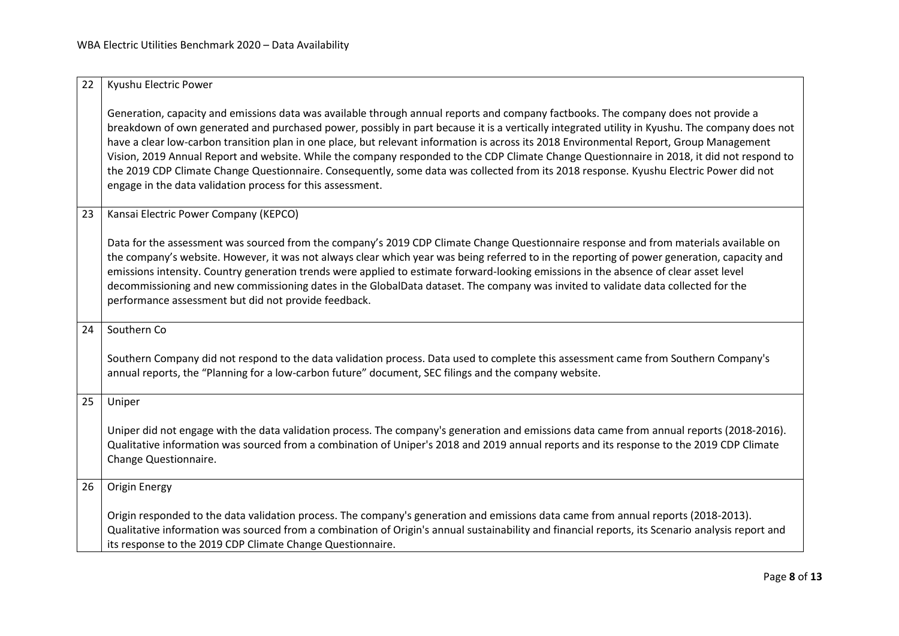<span id="page-7-4"></span><span id="page-7-3"></span><span id="page-7-2"></span><span id="page-7-1"></span><span id="page-7-0"></span>

| 22 | Kyushu Electric Power                                                                                                                                                                                                                                                                                                                                                                                                                                                                                                                                                                                                                                                                                                                                                                  |
|----|----------------------------------------------------------------------------------------------------------------------------------------------------------------------------------------------------------------------------------------------------------------------------------------------------------------------------------------------------------------------------------------------------------------------------------------------------------------------------------------------------------------------------------------------------------------------------------------------------------------------------------------------------------------------------------------------------------------------------------------------------------------------------------------|
|    | Generation, capacity and emissions data was available through annual reports and company factbooks. The company does not provide a<br>breakdown of own generated and purchased power, possibly in part because it is a vertically integrated utility in Kyushu. The company does not<br>have a clear low-carbon transition plan in one place, but relevant information is across its 2018 Environmental Report, Group Management<br>Vision, 2019 Annual Report and website. While the company responded to the CDP Climate Change Questionnaire in 2018, it did not respond to<br>the 2019 CDP Climate Change Questionnaire. Consequently, some data was collected from its 2018 response. Kyushu Electric Power did not<br>engage in the data validation process for this assessment. |
| 23 | Kansai Electric Power Company (KEPCO)                                                                                                                                                                                                                                                                                                                                                                                                                                                                                                                                                                                                                                                                                                                                                  |
|    | Data for the assessment was sourced from the company's 2019 CDP Climate Change Questionnaire response and from materials available on<br>the company's website. However, it was not always clear which year was being referred to in the reporting of power generation, capacity and<br>emissions intensity. Country generation trends were applied to estimate forward-looking emissions in the absence of clear asset level<br>decommissioning and new commissioning dates in the GlobalData dataset. The company was invited to validate data collected for the<br>performance assessment but did not provide feedback.                                                                                                                                                             |
| 24 | Southern Co                                                                                                                                                                                                                                                                                                                                                                                                                                                                                                                                                                                                                                                                                                                                                                            |
|    | Southern Company did not respond to the data validation process. Data used to complete this assessment came from Southern Company's<br>annual reports, the "Planning for a low-carbon future" document, SEC filings and the company website.                                                                                                                                                                                                                                                                                                                                                                                                                                                                                                                                           |
| 25 | Uniper                                                                                                                                                                                                                                                                                                                                                                                                                                                                                                                                                                                                                                                                                                                                                                                 |
|    | Uniper did not engage with the data validation process. The company's generation and emissions data came from annual reports (2018-2016).<br>Qualitative information was sourced from a combination of Uniper's 2018 and 2019 annual reports and its response to the 2019 CDP Climate<br>Change Questionnaire.                                                                                                                                                                                                                                                                                                                                                                                                                                                                         |
| 26 | <b>Origin Energy</b>                                                                                                                                                                                                                                                                                                                                                                                                                                                                                                                                                                                                                                                                                                                                                                   |
|    | Origin responded to the data validation process. The company's generation and emissions data came from annual reports (2018-2013).<br>Qualitative information was sourced from a combination of Origin's annual sustainability and financial reports, its Scenario analysis report and<br>its response to the 2019 CDP Climate Change Questionnaire.                                                                                                                                                                                                                                                                                                                                                                                                                                   |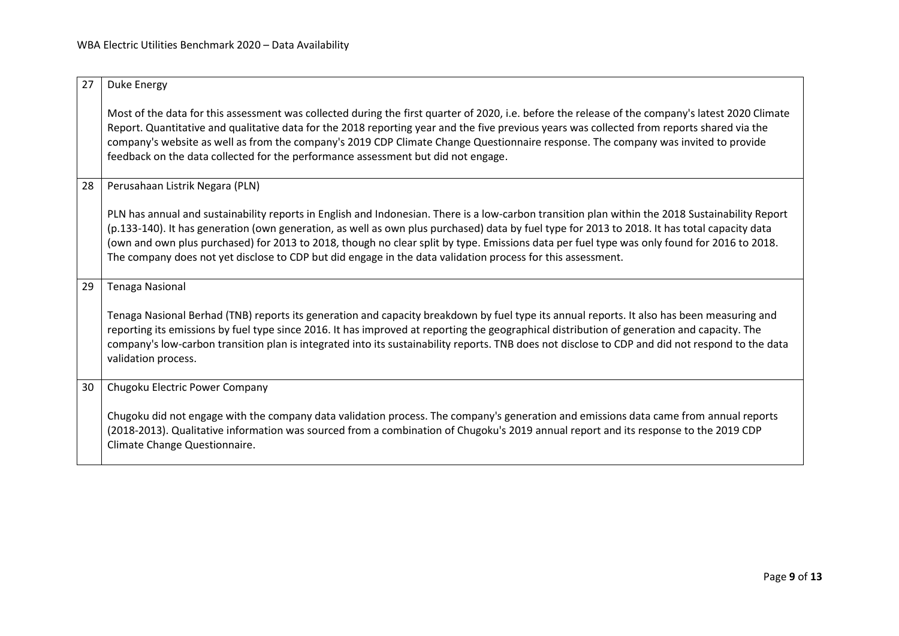<span id="page-8-3"></span><span id="page-8-2"></span><span id="page-8-1"></span><span id="page-8-0"></span>

| 27 | Duke Energy                                                                                                                                                                                                                                                                                                                                                                                                                                                                                                                                                     |
|----|-----------------------------------------------------------------------------------------------------------------------------------------------------------------------------------------------------------------------------------------------------------------------------------------------------------------------------------------------------------------------------------------------------------------------------------------------------------------------------------------------------------------------------------------------------------------|
|    | Most of the data for this assessment was collected during the first quarter of 2020, i.e. before the release of the company's latest 2020 Climate<br>Report. Quantitative and qualitative data for the 2018 reporting year and the five previous years was collected from reports shared via the<br>company's website as well as from the company's 2019 CDP Climate Change Questionnaire response. The company was invited to provide<br>feedback on the data collected for the performance assessment but did not engage.                                     |
| 28 | Perusahaan Listrik Negara (PLN)                                                                                                                                                                                                                                                                                                                                                                                                                                                                                                                                 |
|    | PLN has annual and sustainability reports in English and Indonesian. There is a low-carbon transition plan within the 2018 Sustainability Report<br>(p.133-140). It has generation (own generation, as well as own plus purchased) data by fuel type for 2013 to 2018. It has total capacity data<br>(own and own plus purchased) for 2013 to 2018, though no clear split by type. Emissions data per fuel type was only found for 2016 to 2018.<br>The company does not yet disclose to CDP but did engage in the data validation process for this assessment. |
| 29 | <b>Tenaga Nasional</b>                                                                                                                                                                                                                                                                                                                                                                                                                                                                                                                                          |
|    | Tenaga Nasional Berhad (TNB) reports its generation and capacity breakdown by fuel type its annual reports. It also has been measuring and<br>reporting its emissions by fuel type since 2016. It has improved at reporting the geographical distribution of generation and capacity. The<br>company's low-carbon transition plan is integrated into its sustainability reports. TNB does not disclose to CDP and did not respond to the data<br>validation process.                                                                                            |
| 30 | Chugoku Electric Power Company                                                                                                                                                                                                                                                                                                                                                                                                                                                                                                                                  |
|    | Chugoku did not engage with the company data validation process. The company's generation and emissions data came from annual reports<br>(2018-2013). Qualitative information was sourced from a combination of Chugoku's 2019 annual report and its response to the 2019 CDP<br>Climate Change Questionnaire.                                                                                                                                                                                                                                                  |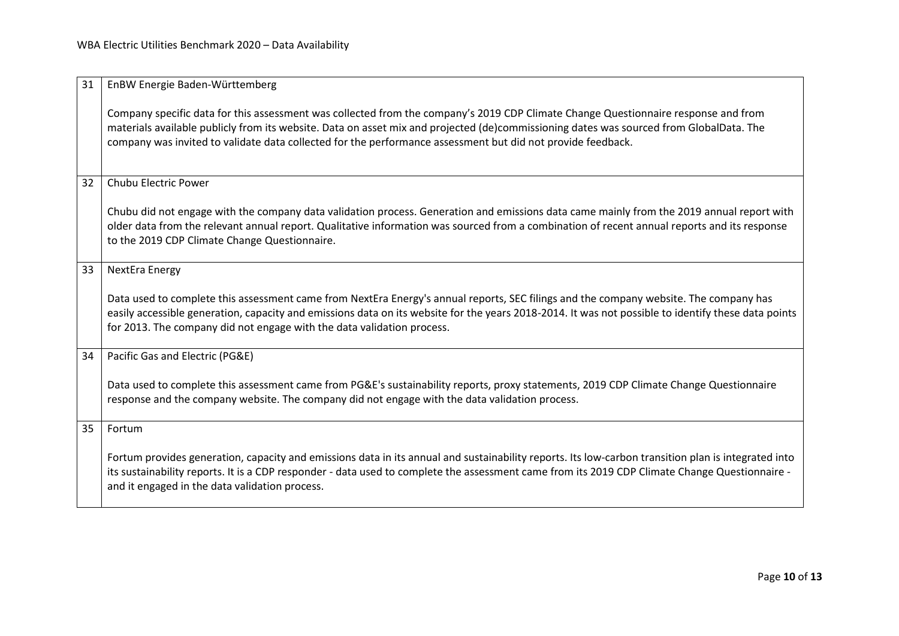<span id="page-9-4"></span><span id="page-9-3"></span><span id="page-9-2"></span><span id="page-9-1"></span><span id="page-9-0"></span>

| 31 | EnBW Energie Baden-Württemberg                                                                                                                                                                                                                                                                                                                                                               |
|----|----------------------------------------------------------------------------------------------------------------------------------------------------------------------------------------------------------------------------------------------------------------------------------------------------------------------------------------------------------------------------------------------|
|    | Company specific data for this assessment was collected from the company's 2019 CDP Climate Change Questionnaire response and from<br>materials available publicly from its website. Data on asset mix and projected (de)commissioning dates was sourced from GlobalData. The<br>company was invited to validate data collected for the performance assessment but did not provide feedback. |
| 32 | <b>Chubu Electric Power</b>                                                                                                                                                                                                                                                                                                                                                                  |
|    | Chubu did not engage with the company data validation process. Generation and emissions data came mainly from the 2019 annual report with<br>older data from the relevant annual report. Qualitative information was sourced from a combination of recent annual reports and its response<br>to the 2019 CDP Climate Change Questionnaire.                                                   |
| 33 | <b>NextEra Energy</b>                                                                                                                                                                                                                                                                                                                                                                        |
|    | Data used to complete this assessment came from NextEra Energy's annual reports, SEC filings and the company website. The company has<br>easily accessible generation, capacity and emissions data on its website for the years 2018-2014. It was not possible to identify these data points<br>for 2013. The company did not engage with the data validation process.                       |
| 34 | Pacific Gas and Electric (PG&E)                                                                                                                                                                                                                                                                                                                                                              |
|    | Data used to complete this assessment came from PG&E's sustainability reports, proxy statements, 2019 CDP Climate Change Questionnaire<br>response and the company website. The company did not engage with the data validation process.                                                                                                                                                     |
| 35 | Fortum                                                                                                                                                                                                                                                                                                                                                                                       |
|    | Fortum provides generation, capacity and emissions data in its annual and sustainability reports. Its low-carbon transition plan is integrated into<br>its sustainability reports. It is a CDP responder - data used to complete the assessment came from its 2019 CDP Climate Change Questionnaire -<br>and it engaged in the data validation process.                                      |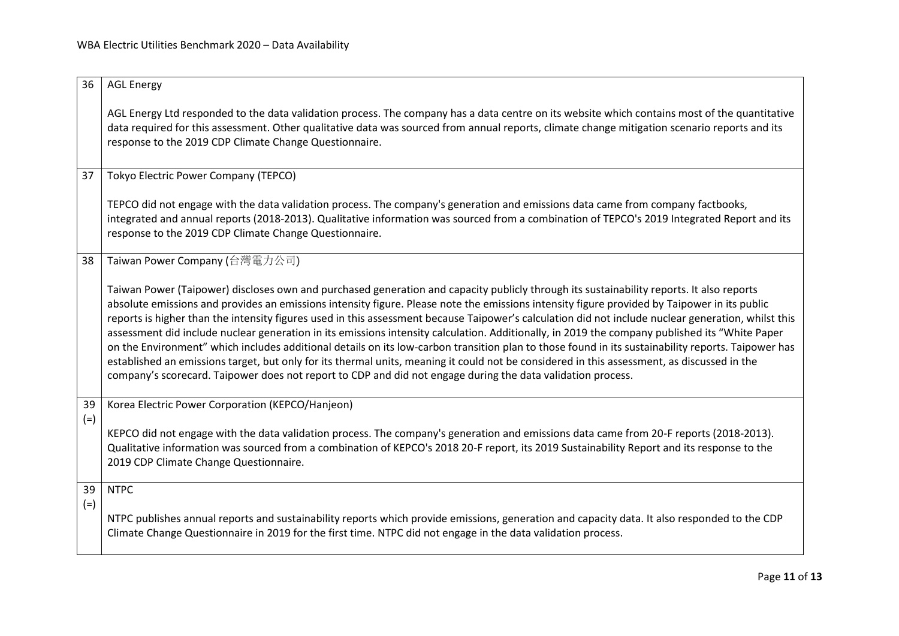<span id="page-10-4"></span><span id="page-10-3"></span><span id="page-10-2"></span><span id="page-10-1"></span><span id="page-10-0"></span>

| 36    | <b>AGL Energy</b>                                                                                                                                                                                                                                                                                                                                                                                                                                                                                                                                                                                                                                                                                                                                                                                                                                                                                                                                                                                                     |
|-------|-----------------------------------------------------------------------------------------------------------------------------------------------------------------------------------------------------------------------------------------------------------------------------------------------------------------------------------------------------------------------------------------------------------------------------------------------------------------------------------------------------------------------------------------------------------------------------------------------------------------------------------------------------------------------------------------------------------------------------------------------------------------------------------------------------------------------------------------------------------------------------------------------------------------------------------------------------------------------------------------------------------------------|
|       | AGL Energy Ltd responded to the data validation process. The company has a data centre on its website which contains most of the quantitative<br>data required for this assessment. Other qualitative data was sourced from annual reports, climate change mitigation scenario reports and its<br>response to the 2019 CDP Climate Change Questionnaire.                                                                                                                                                                                                                                                                                                                                                                                                                                                                                                                                                                                                                                                              |
| 37    | Tokyo Electric Power Company (TEPCO)                                                                                                                                                                                                                                                                                                                                                                                                                                                                                                                                                                                                                                                                                                                                                                                                                                                                                                                                                                                  |
|       | TEPCO did not engage with the data validation process. The company's generation and emissions data came from company factbooks,<br>integrated and annual reports (2018-2013). Qualitative information was sourced from a combination of TEPCO's 2019 Integrated Report and its<br>response to the 2019 CDP Climate Change Questionnaire.                                                                                                                                                                                                                                                                                                                                                                                                                                                                                                                                                                                                                                                                              |
| 38    | Taiwan Power Company (台灣電力公司)                                                                                                                                                                                                                                                                                                                                                                                                                                                                                                                                                                                                                                                                                                                                                                                                                                                                                                                                                                                         |
|       | Taiwan Power (Taipower) discloses own and purchased generation and capacity publicly through its sustainability reports. It also reports<br>absolute emissions and provides an emissions intensity figure. Please note the emissions intensity figure provided by Taipower in its public<br>reports is higher than the intensity figures used in this assessment because Taipower's calculation did not include nuclear generation, whilst this<br>assessment did include nuclear generation in its emissions intensity calculation. Additionally, in 2019 the company published its "White Paper<br>on the Environment" which includes additional details on its low-carbon transition plan to those found in its sustainability reports. Taipower has<br>established an emissions target, but only for its thermal units, meaning it could not be considered in this assessment, as discussed in the<br>company's scorecard. Taipower does not report to CDP and did not engage during the data validation process. |
| 39    | Korea Electric Power Corporation (KEPCO/Hanjeon)                                                                                                                                                                                                                                                                                                                                                                                                                                                                                                                                                                                                                                                                                                                                                                                                                                                                                                                                                                      |
| $(=)$ | KEPCO did not engage with the data validation process. The company's generation and emissions data came from 20-F reports (2018-2013).<br>Qualitative information was sourced from a combination of KEPCO's 2018 20-F report, its 2019 Sustainability Report and its response to the<br>2019 CDP Climate Change Questionnaire.                                                                                                                                                                                                                                                                                                                                                                                                                                                                                                                                                                                                                                                                                        |
| 39    | <b>NTPC</b>                                                                                                                                                                                                                                                                                                                                                                                                                                                                                                                                                                                                                                                                                                                                                                                                                                                                                                                                                                                                           |
| $(=)$ | NTPC publishes annual reports and sustainability reports which provide emissions, generation and capacity data. It also responded to the CDP<br>Climate Change Questionnaire in 2019 for the first time. NTPC did not engage in the data validation process.                                                                                                                                                                                                                                                                                                                                                                                                                                                                                                                                                                                                                                                                                                                                                          |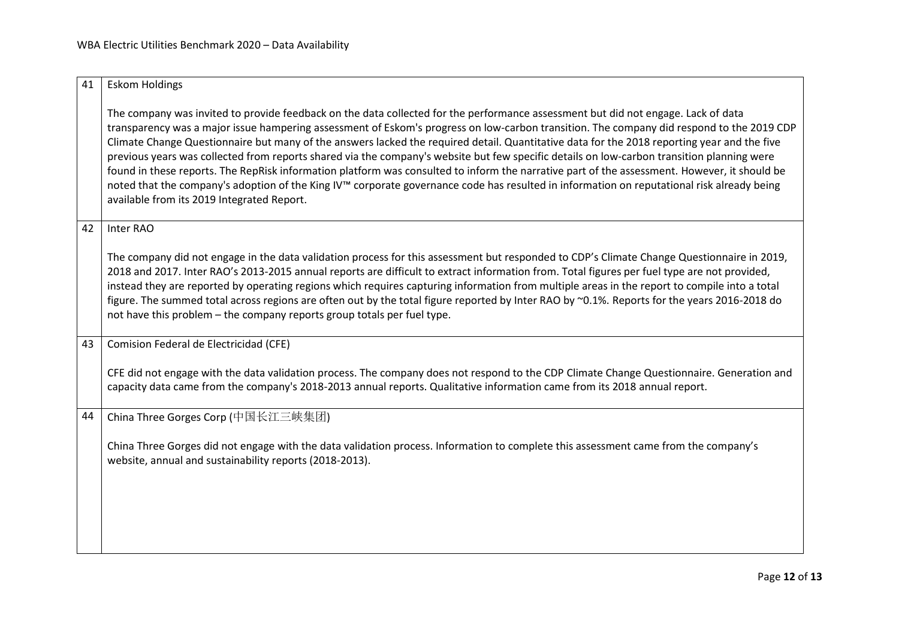<span id="page-11-3"></span><span id="page-11-2"></span><span id="page-11-1"></span><span id="page-11-0"></span>

| <b>Eskom Holdings</b><br>41                                                                                                                                                                                                                                                                                                                                                                                                                                                                                                                                                                                                                                                                                                                                                                                                                                                                                             |
|-------------------------------------------------------------------------------------------------------------------------------------------------------------------------------------------------------------------------------------------------------------------------------------------------------------------------------------------------------------------------------------------------------------------------------------------------------------------------------------------------------------------------------------------------------------------------------------------------------------------------------------------------------------------------------------------------------------------------------------------------------------------------------------------------------------------------------------------------------------------------------------------------------------------------|
| The company was invited to provide feedback on the data collected for the performance assessment but did not engage. Lack of data<br>transparency was a major issue hampering assessment of Eskom's progress on low-carbon transition. The company did respond to the 2019 CDP<br>Climate Change Questionnaire but many of the answers lacked the required detail. Quantitative data for the 2018 reporting year and the five<br>previous years was collected from reports shared via the company's website but few specific details on low-carbon transition planning were<br>found in these reports. The RepRisk information platform was consulted to inform the narrative part of the assessment. However, it should be<br>noted that the company's adoption of the King IV™ corporate governance code has resulted in information on reputational risk already being<br>available from its 2019 Integrated Report. |
| 42<br>Inter RAO                                                                                                                                                                                                                                                                                                                                                                                                                                                                                                                                                                                                                                                                                                                                                                                                                                                                                                         |
| The company did not engage in the data validation process for this assessment but responded to CDP's Climate Change Questionnaire in 2019,<br>2018 and 2017. Inter RAO's 2013-2015 annual reports are difficult to extract information from. Total figures per fuel type are not provided,<br>instead they are reported by operating regions which requires capturing information from multiple areas in the report to compile into a total<br>figure. The summed total across regions are often out by the total figure reported by Inter RAO by ~0.1%. Reports for the years 2016-2018 do<br>not have this problem - the company reports group totals per fuel type.                                                                                                                                                                                                                                                  |
| Comision Federal de Electricidad (CFE)<br>43                                                                                                                                                                                                                                                                                                                                                                                                                                                                                                                                                                                                                                                                                                                                                                                                                                                                            |
| CFE did not engage with the data validation process. The company does not respond to the CDP Climate Change Questionnaire. Generation and<br>capacity data came from the company's 2018-2013 annual reports. Qualitative information came from its 2018 annual report.                                                                                                                                                                                                                                                                                                                                                                                                                                                                                                                                                                                                                                                  |
| 44<br>China Three Gorges Corp (中国长江三峡集团)                                                                                                                                                                                                                                                                                                                                                                                                                                                                                                                                                                                                                                                                                                                                                                                                                                                                                |
| China Three Gorges did not engage with the data validation process. Information to complete this assessment came from the company's<br>website, annual and sustainability reports (2018-2013).                                                                                                                                                                                                                                                                                                                                                                                                                                                                                                                                                                                                                                                                                                                          |
|                                                                                                                                                                                                                                                                                                                                                                                                                                                                                                                                                                                                                                                                                                                                                                                                                                                                                                                         |